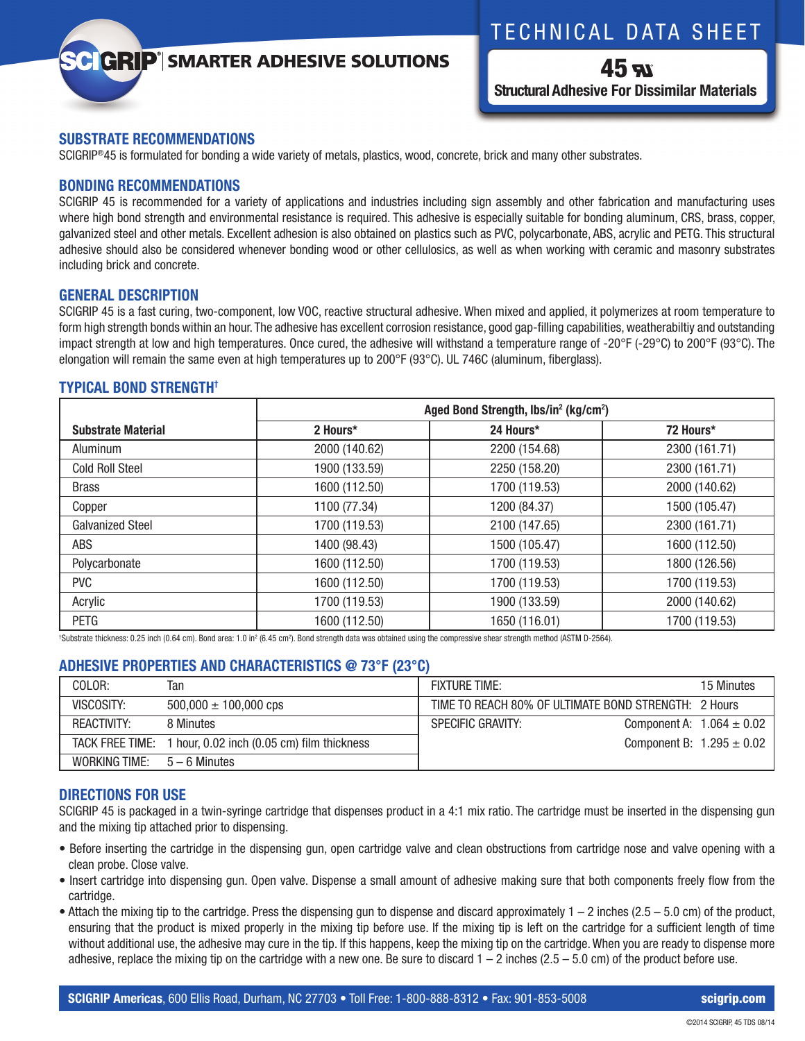## TECHNICAL DATA SHEET

# **GRIP**<sup>'</sup> SMARTER ADHESIVE SOLUTIONS

45 A **Structural Adhesive For Dissimilar Materials**

## **SUBSTRATE RECOMMENDATIONS**

SCIGRIP®45 is formulated for bonding a wide variety of metals, plastics, wood, concrete, brick and many other substrates.

## **BONDING RECOMMENDATIONS**

SCIGRIP 45 is recommended for a variety of applications and industries including sign assembly and other fabrication and manufacturing uses where high bond strength and environmental resistance is required. This adhesive is especially suitable for bonding aluminum, CRS, brass, copper, galvanized steel and other metals. Excellent adhesion is also obtained on plastics such as PVC, polycarbonate, ABS, acrylic and PETG. This structural adhesive should also be considered whenever bonding wood or other cellulosics, as well as when working with ceramic and masonry substrates including brick and concrete.

## **GENERAL DESCRIPTION**

SCIGRIP 45 is a fast curing, two-component, low VOC, reactive structural adhesive. When mixed and applied, it polymerizes at room temperature to form high strength bonds within an hour. The adhesive has excellent corrosion resistance, good gap-filling capabilities, weatherabiltiy and outstanding impact strength at low and high temperatures. Once cured, the adhesive will withstand a temperature range of -20°F (-29°C) to 200°F (93°C). The elongation will remain the same even at high temperatures up to 200°F (93°C). UL 746C (aluminum, fiberglass).

## **TYPICAL BOND STRENGTH†**

|                           | Aged Bond Strength, lbs/in <sup>2</sup> (kg/cm <sup>2</sup> ) |               |               |
|---------------------------|---------------------------------------------------------------|---------------|---------------|
| <b>Substrate Material</b> | 2 Hours*                                                      | 24 Hours*     | 72 Hours*     |
| Aluminum                  | 2000 (140.62)                                                 | 2200 (154.68) | 2300 (161.71) |
| <b>Cold Roll Steel</b>    | 1900 (133.59)                                                 | 2250 (158.20) | 2300 (161.71) |
| <b>Brass</b>              | 1600 (112.50)                                                 | 1700 (119.53) | 2000 (140.62) |
| Copper                    | 1100 (77.34)                                                  | 1200 (84.37)  | 1500 (105.47) |
| <b>Galvanized Steel</b>   | 1700 (119.53)                                                 | 2100 (147.65) | 2300 (161.71) |
| ABS                       | 1400 (98.43)                                                  | 1500 (105.47) | 1600 (112.50) |
| Polycarbonate             | 1600 (112.50)                                                 | 1700 (119.53) | 1800 (126.56) |
| <b>PVC</b>                | 1600 (112.50)                                                 | 1700 (119.53) | 1700 (119.53) |
| Acrylic                   | 1700 (119.53)                                                 | 1900 (133.59) | 2000 (140.62) |
| <b>PETG</b>               | 1600 (112.50)                                                 | 1650 (116.01) | 1700 (119.53) |

<sup>t</sup>Substrate thickness: 0.25 inch (0.64 cm). Bond area: 1.0 in<sup>2</sup> (6.45 cm<sup>2</sup>). Bond strength data was obtained using the compressive shear strength method (ASTM D-2564).

## **ADHESIVE PROPERTIES AND CHARACTERISTICS @ 73°F (23°C)**

| COLOR:                      | Tan                                                        | <b>FIXTURE TIME:</b>                                 | 15 Minutes                    |
|-----------------------------|------------------------------------------------------------|------------------------------------------------------|-------------------------------|
| VISCOSITY:                  | $500,000 \pm 100,000$ cps                                  | TIME TO REACH 80% OF ULTIMATE BOND STRENGTH: 2 Hours |                               |
| REACTIVITY:                 | 8 Minutes                                                  | SPECIFIC GRAVITY:                                    | Component A: $1.064 \pm 0.02$ |
|                             | TACK FREE TIME: 1 hour, 0.02 inch (0.05 cm) film thickness |                                                      | Component B: $1.295 \pm 0.02$ |
| WORKING TIME: $5-6$ Minutes |                                                            |                                                      |                               |

## **DIRECTIONS FOR USE**

SCIGRIP 45 is packaged in a twin-syringe cartridge that dispenses product in a 4:1 mix ratio. The cartridge must be inserted in the dispensing gun and the mixing tip attached prior to dispensing.

- Before inserting the cartridge in the dispensing gun, open cartridge valve and clean obstructions from cartridge nose and valve opening with a clean probe. Close valve.
- Insert cartridge into dispensing gun. Open valve. Dispense a small amount of adhesive making sure that both components freely flow from the cartridge.
- Attach the mixing tip to the cartridge. Press the dispensing gun to dispense and discard approximately  $1 2$  inches (2.5 5.0 cm) of the product, ensuring that the product is mixed properly in the mixing tip before use. If the mixing tip is left on the cartridge for a sufficient length of time without additional use, the adhesive may cure in the tip. If this happens, keep the mixing tip on the cartridge. When you are ready to dispense more adhesive, replace the mixing tip on the cartridge with a new one. Be sure to discard  $1 - 2$  inches ( $2.5 - 5.0$  cm) of the product before use.